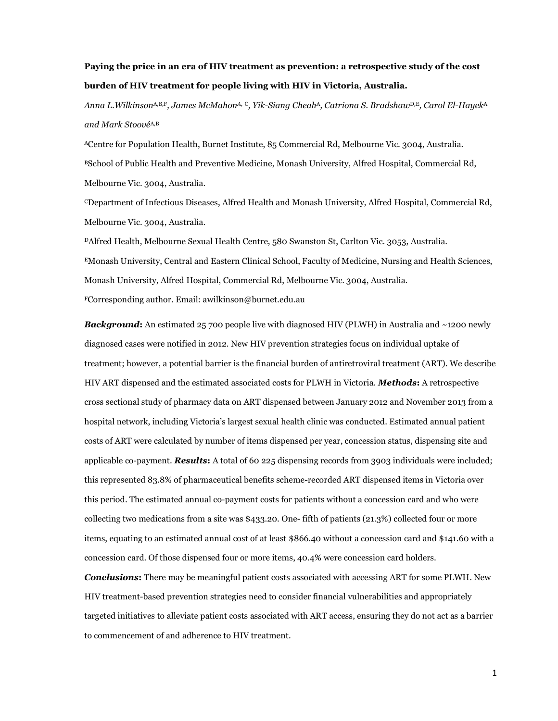# Paying the price in an era of HIV treatment as prevention: a retrospective study of the cost burden of HIV treatment for people living with HIV in Victoria, Australia.

Anna L.Wilkinson<sup>A,B,F</sup>, James McMahon<sup>A, C</sup>, Yik-Siang Cheah<sup>A</sup>, Catriona S. Bradshaw<sup>D,E</sup>, Carol El-Hayek<sup>A</sup> and Mark StoovéA,<sup>B</sup>

<sup>A</sup>Centre for Population Health, Burnet Institute, 85 Commercial Rd, Melbourne Vic. 3004, Australia. <sup>B</sup>School of Public Health and Preventive Medicine, Monash University, Alfred Hospital, Commercial Rd, Melbourne Vic. 3004, Australia.

<sup>C</sup>Department of Infectious Diseases, Alfred Health and Monash University, Alfred Hospital, Commercial Rd, Melbourne Vic. 3004, Australia.

<sup>D</sup>Alfred Health, Melbourne Sexual Health Centre, 580 Swanston St, Carlton Vic. 3053, Australia. <sup>E</sup>Monash University, Central and Eastern Clinical School, Faculty of Medicine, Nursing and Health Sciences, Monash University, Alfred Hospital, Commercial Rd, Melbourne Vic. 3004, Australia. <sup>F</sup>Corresponding author. Email: awilkinson@burnet.edu.au

**Background:** An estimated 25 700 people live with diagnosed HIV (PLWH) in Australia and  $\sim$ 1200 newly diagnosed cases were notified in 2012. New HIV prevention strategies focus on individual uptake of treatment; however, a potential barrier is the financial burden of antiretroviral treatment (ART). We describe HIV ART dispensed and the estimated associated costs for PLWH in Victoria. **Methods:** A retrospective cross sectional study of pharmacy data on ART dispensed between January 2012 and November 2013 from a hospital network, including Victoria's largest sexual health clinic was conducted. Estimated annual patient costs of ART were calculated by number of items dispensed per year, concession status, dispensing site and applicable co-payment. Results: A total of 60 225 dispensing records from 3903 individuals were included; this represented 83.8% of pharmaceutical benefits scheme-recorded ART dispensed items in Victoria over this period. The estimated annual co-payment costs for patients without a concession card and who were collecting two medications from a site was \$433.20. One- fifth of patients (21.3%) collected four or more items, equating to an estimated annual cost of at least \$866.40 without a concession card and \$141.60 with a concession card. Of those dispensed four or more items, 40.4% were concession card holders.

**Conclusions:** There may be meaningful patient costs associated with accessing ART for some PLWH. New HIV treatment-based prevention strategies need to consider financial vulnerabilities and appropriately targeted initiatives to alleviate patient costs associated with ART access, ensuring they do not act as a barrier to commencement of and adherence to HIV treatment.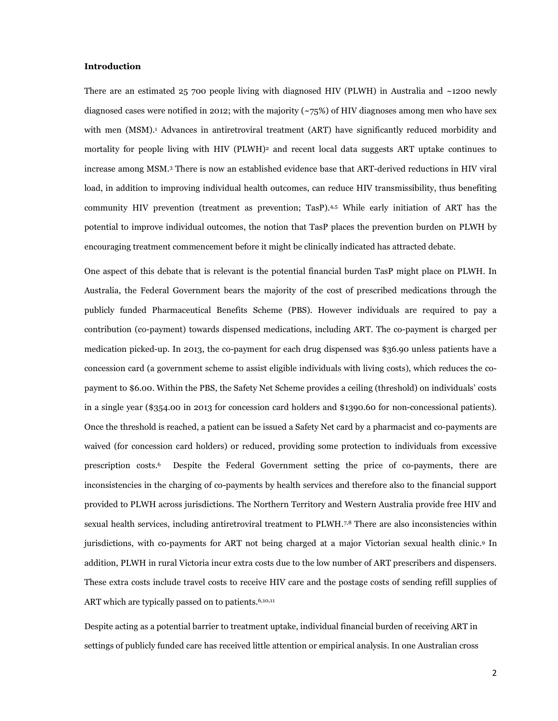## Introduction

There are an estimated  $25\,700$  people living with diagnosed HIV (PLWH) in Australia and  $\sim$ 1200 newly diagnosed cases were notified in 2012; with the majority  $(\sim 75\%)$  of HIV diagnoses among men who have sex with men (MSM).<sup>1</sup> Advances in antiretroviral treatment (ART) have significantly reduced morbidity and mortality for people living with HIV  $(PLWH)^2$  and recent local data suggests ART uptake continues to increase among MSM.3 There is now an established evidence base that ART-derived reductions in HIV viral load, in addition to improving individual health outcomes, can reduce HIV transmissibility, thus benefiting community HIV prevention (treatment as prevention; TasP).4,5 While early initiation of ART has the potential to improve individual outcomes, the notion that TasP places the prevention burden on PLWH by encouraging treatment commencement before it might be clinically indicated has attracted debate.

One aspect of this debate that is relevant is the potential financial burden TasP might place on PLWH. In Australia, the Federal Government bears the majority of the cost of prescribed medications through the publicly funded Pharmaceutical Benefits Scheme (PBS). However individuals are required to pay a contribution (co-payment) towards dispensed medications, including ART. The co-payment is charged per medication picked-up. In 2013, the co-payment for each drug dispensed was \$36.90 unless patients have a concession card (a government scheme to assist eligible individuals with living costs), which reduces the copayment to \$6.00. Within the PBS, the Safety Net Scheme provides a ceiling (threshold) on individuals' costs in a single year (\$354.00 in 2013 for concession card holders and \$1390.60 for non-concessional patients). Once the threshold is reached, a patient can be issued a Safety Net card by a pharmacist and co-payments are waived (for concession card holders) or reduced, providing some protection to individuals from excessive prescription costs.6 Despite the Federal Government setting the price of co-payments, there are inconsistencies in the charging of co-payments by health services and therefore also to the financial support provided to PLWH across jurisdictions. The Northern Territory and Western Australia provide free HIV and sexual health services, including antiretroviral treatment to PLWH.<sup>7,8</sup> There are also inconsistencies within jurisdictions, with co-payments for ART not being charged at a major Victorian sexual health clinic.9 In addition, PLWH in rural Victoria incur extra costs due to the low number of ART prescribers and dispensers. These extra costs include travel costs to receive HIV care and the postage costs of sending refill supplies of ART which are typically passed on to patients.<sup>6,10,11</sup>

Despite acting as a potential barrier to treatment uptake, individual financial burden of receiving ART in settings of publicly funded care has received little attention or empirical analysis. In one Australian cross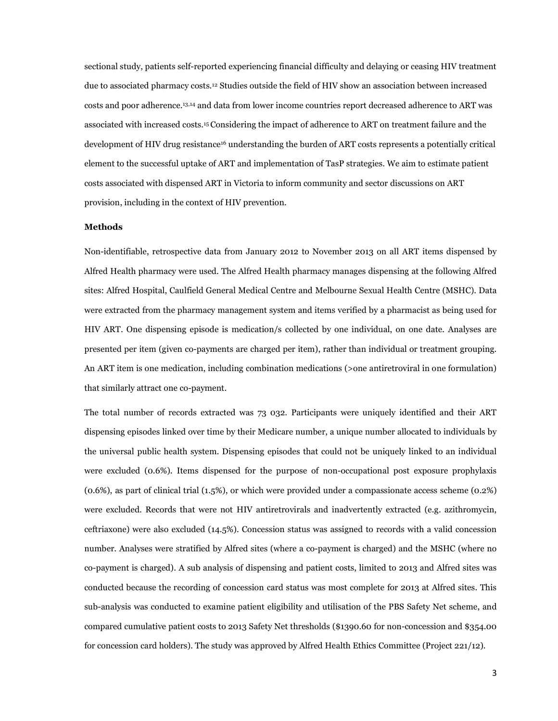sectional study, patients self-reported experiencing financial difficulty and delaying or ceasing HIV treatment due to associated pharmacy costs.12 Studies outside the field of HIV show an association between increased costs and poor adherence.13,14 and data from lower income countries report decreased adherence to ART was associated with increased costs.15 Considering the impact of adherence to ART on treatment failure and the development of HIV drug resistance16 understanding the burden of ART costs represents a potentially critical element to the successful uptake of ART and implementation of TasP strategies. We aim to estimate patient costs associated with dispensed ART in Victoria to inform community and sector discussions on ART provision, including in the context of HIV prevention.

## Methods

Non-identifiable, retrospective data from January 2012 to November 2013 on all ART items dispensed by Alfred Health pharmacy were used. The Alfred Health pharmacy manages dispensing at the following Alfred sites: Alfred Hospital, Caulfield General Medical Centre and Melbourne Sexual Health Centre (MSHC). Data were extracted from the pharmacy management system and items verified by a pharmacist as being used for HIV ART. One dispensing episode is medication/s collected by one individual, on one date. Analyses are presented per item (given co-payments are charged per item), rather than individual or treatment grouping. An ART item is one medication, including combination medications (>one antiretroviral in one formulation) that similarly attract one co-payment.

The total number of records extracted was 73 032. Participants were uniquely identified and their ART dispensing episodes linked over time by their Medicare number, a unique number allocated to individuals by the universal public health system. Dispensing episodes that could not be uniquely linked to an individual were excluded (0.6%). Items dispensed for the purpose of non-occupational post exposure prophylaxis (0.6%), as part of clinical trial (1.5%), or which were provided under a compassionate access scheme (0.2%) were excluded. Records that were not HIV antiretrovirals and inadvertently extracted (e.g. azithromycin, ceftriaxone) were also excluded (14.5%). Concession status was assigned to records with a valid concession number. Analyses were stratified by Alfred sites (where a co-payment is charged) and the MSHC (where no co-payment is charged). A sub analysis of dispensing and patient costs, limited to 2013 and Alfred sites was conducted because the recording of concession card status was most complete for 2013 at Alfred sites. This sub-analysis was conducted to examine patient eligibility and utilisation of the PBS Safety Net scheme, and compared cumulative patient costs to 2013 Safety Net thresholds (\$1390.60 for non-concession and \$354.00 for concession card holders). The study was approved by Alfred Health Ethics Committee (Project 221/12).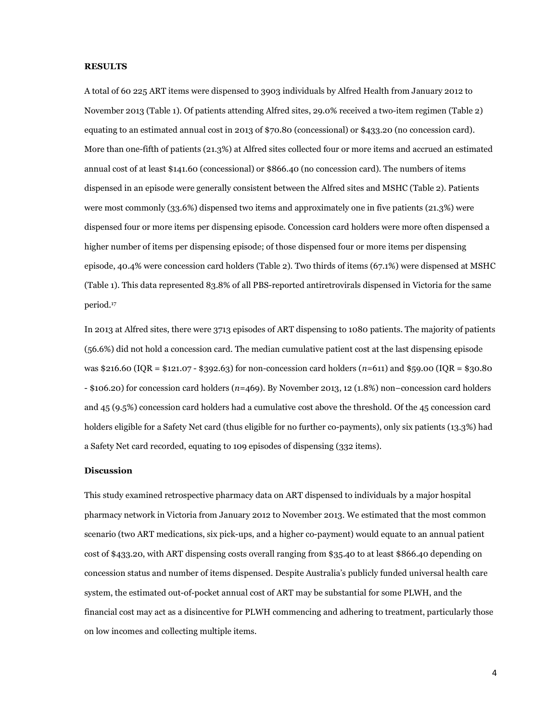#### RESULTS

A total of 60 225 ART items were dispensed to 3903 individuals by Alfred Health from January 2012 to November 2013 (Table 1). Of patients attending Alfred sites, 29.0% received a two-item regimen (Table 2) equating to an estimated annual cost in 2013 of \$70.80 (concessional) or \$433.20 (no concession card). More than one-fifth of patients (21.3%) at Alfred sites collected four or more items and accrued an estimated annual cost of at least \$141.60 (concessional) or \$866.40 (no concession card). The numbers of items dispensed in an episode were generally consistent between the Alfred sites and MSHC (Table 2). Patients were most commonly (33.6%) dispensed two items and approximately one in five patients (21.3%) were dispensed four or more items per dispensing episode. Concession card holders were more often dispensed a higher number of items per dispensing episode; of those dispensed four or more items per dispensing episode, 40.4% were concession card holders (Table 2). Two thirds of items (67.1%) were dispensed at MSHC (Table 1). This data represented 83.8% of all PBS-reported antiretrovirals dispensed in Victoria for the same period.<sup>17</sup>

In 2013 at Alfred sites, there were 3713 episodes of ART dispensing to 1080 patients. The majority of patients (56.6%) did not hold a concession card. The median cumulative patient cost at the last dispensing episode was \$216.60 (IQR = \$121.07 - \$392.63) for non-concession card holders  $(n=611)$  and \$59.00 (IQR = \$30.80) - \$106.20) for concession card holders (n=469). By November 2013, 12 (1.8%) non–concession card holders and 45 (9.5%) concession card holders had a cumulative cost above the threshold. Of the 45 concession card holders eligible for a Safety Net card (thus eligible for no further co-payments), only six patients (13.3%) had a Safety Net card recorded, equating to 109 episodes of dispensing (332 items).

# Discussion

This study examined retrospective pharmacy data on ART dispensed to individuals by a major hospital pharmacy network in Victoria from January 2012 to November 2013. We estimated that the most common scenario (two ART medications, six pick-ups, and a higher co-payment) would equate to an annual patient cost of \$433.20, with ART dispensing costs overall ranging from \$35.40 to at least \$866.40 depending on concession status and number of items dispensed. Despite Australia's publicly funded universal health care system, the estimated out-of-pocket annual cost of ART may be substantial for some PLWH, and the financial cost may act as a disincentive for PLWH commencing and adhering to treatment, particularly those on low incomes and collecting multiple items.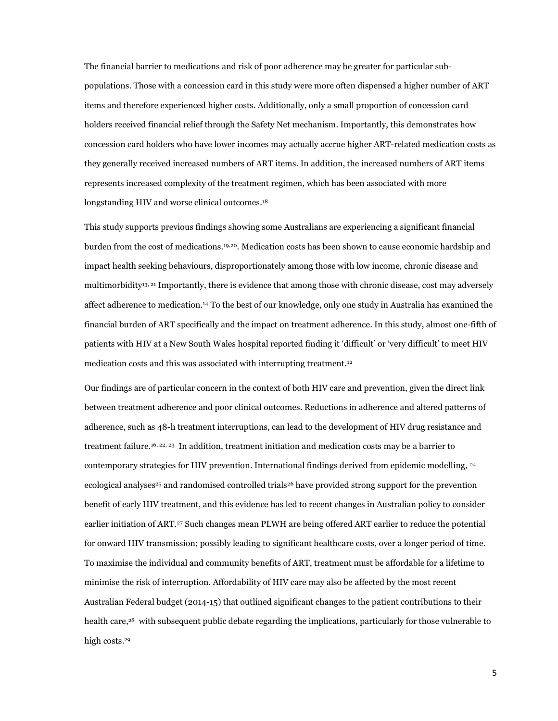The financial barrier to medications and risk of poor adherence may be greater for particular subpopulations. Those with a concession card in this study were more often dispensed a higher number of ART items and therefore experienced higher costs. Additionally, only a small proportion of concession card holders received financial relief through the Safety Net mechanism. Importantly, this demonstrates how concession card holders who have lower incomes may actually accrue higher ART-related medication costs as they generally received increased numbers of ART items. In addition, the increased numbers of ART items represents increased complexity of the treatment regimen, which has been associated with more longstanding HIV and worse clinical outcomes.<sup>18</sup>

This study supports previous findings showing some Australians are experiencing a significant financial burden from the cost of medications.19,20. Medication costs has been shown to cause economic hardship and impact health seeking behaviours, disproportionately among those with low income, chronic disease and multimorbidity13, 21 Importantly, there is evidence that among those with chronic disease, cost may adversely affect adherence to medication.14 To the best of our knowledge, only one study in Australia has examined the financial burden of ART specifically and the impact on treatment adherence. In this study, almost one-fifth of patients with HIV at a New South Wales hospital reported finding it 'difficult' or 'very difficult' to meet HIV medication costs and this was associated with interrupting treatment.<sup>12</sup>

Our findings are of particular concern in the context of both HIV care and prevention, given the direct link between treatment adherence and poor clinical outcomes. Reductions in adherence and altered patterns of adherence, such as 48-h treatment interruptions, can lead to the development of HIV drug resistance and treatment failure.16, 22, 23 In addition, treatment initiation and medication costs may be a barrier to contemporary strategies for HIV prevention. International findings derived from epidemic modelling, <sup>24</sup> ecological analyses<sup>25</sup> and randomised controlled trials<sup>26</sup> have provided strong support for the prevention benefit of early HIV treatment, and this evidence has led to recent changes in Australian policy to consider earlier initiation of ART.27 Such changes mean PLWH are being offered ART earlier to reduce the potential for onward HIV transmission; possibly leading to significant healthcare costs, over a longer period of time. To maximise the individual and community benefits of ART, treatment must be affordable for a lifetime to minimise the risk of interruption. Affordability of HIV care may also be affected by the most recent Australian Federal budget (2014-15) that outlined significant changes to the patient contributions to their health care,28 with subsequent public debate regarding the implications, particularly for those vulnerable to high costs.<sup>29</sup>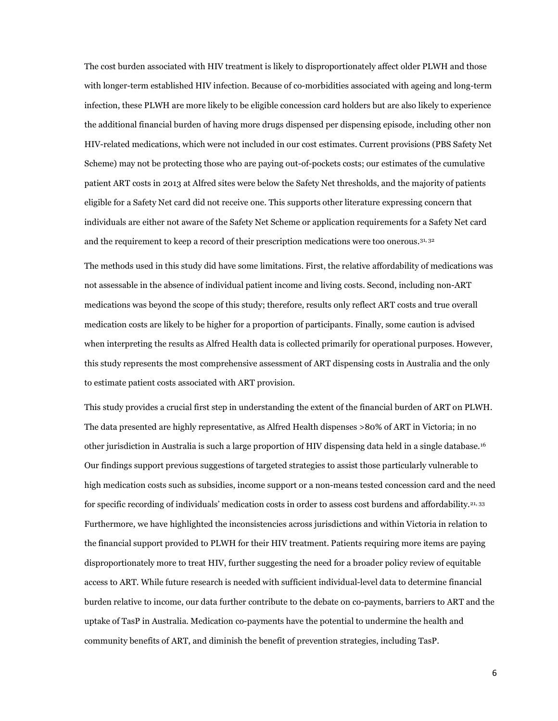The cost burden associated with HIV treatment is likely to disproportionately affect older PLWH and those with longer-term established HIV infection. Because of co-morbidities associated with ageing and long-term infection, these PLWH are more likely to be eligible concession card holders but are also likely to experience the additional financial burden of having more drugs dispensed per dispensing episode, including other non HIV-related medications, which were not included in our cost estimates. Current provisions (PBS Safety Net Scheme) may not be protecting those who are paying out-of-pockets costs; our estimates of the cumulative patient ART costs in 2013 at Alfred sites were below the Safety Net thresholds, and the majority of patients eligible for a Safety Net card did not receive one. This supports other literature expressing concern that individuals are either not aware of the Safety Net Scheme or application requirements for a Safety Net card and the requirement to keep a record of their prescription medications were too onerous.31, 32

The methods used in this study did have some limitations. First, the relative affordability of medications was not assessable in the absence of individual patient income and living costs. Second, including non-ART medications was beyond the scope of this study; therefore, results only reflect ART costs and true overall medication costs are likely to be higher for a proportion of participants. Finally, some caution is advised when interpreting the results as Alfred Health data is collected primarily for operational purposes. However, this study represents the most comprehensive assessment of ART dispensing costs in Australia and the only to estimate patient costs associated with ART provision.

This study provides a crucial first step in understanding the extent of the financial burden of ART on PLWH. The data presented are highly representative, as Alfred Health dispenses >80% of ART in Victoria; in no other jurisdiction in Australia is such a large proportion of HIV dispensing data held in a single database.<sup>16</sup> Our findings support previous suggestions of targeted strategies to assist those particularly vulnerable to high medication costs such as subsidies, income support or a non-means tested concession card and the need for specific recording of individuals' medication costs in order to assess cost burdens and affordability.<sup>21, 33</sup> Furthermore, we have highlighted the inconsistencies across jurisdictions and within Victoria in relation to the financial support provided to PLWH for their HIV treatment. Patients requiring more items are paying disproportionately more to treat HIV, further suggesting the need for a broader policy review of equitable access to ART. While future research is needed with sufficient individual-level data to determine financial burden relative to income, our data further contribute to the debate on co-payments, barriers to ART and the uptake of TasP in Australia. Medication co-payments have the potential to undermine the health and community benefits of ART, and diminish the benefit of prevention strategies, including TasP.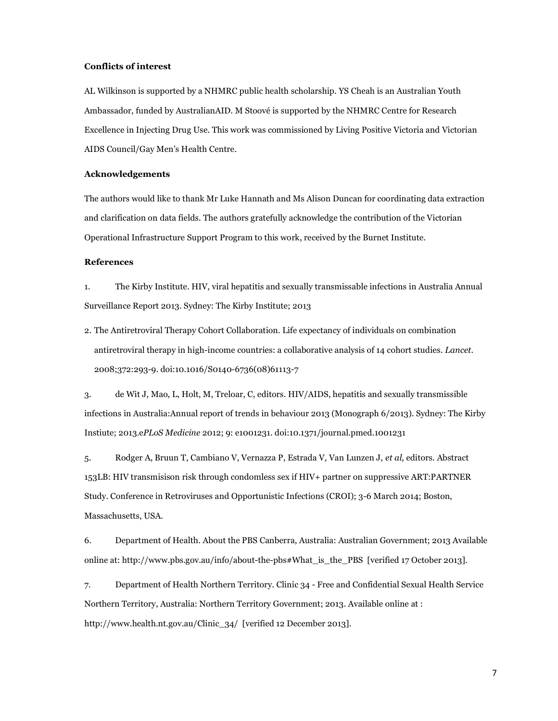## Conflicts of interest

AL Wilkinson is supported by a NHMRC public health scholarship. YS Cheah is an Australian Youth Ambassador, funded by AustralianAID. M Stoové is supported by the NHMRC Centre for Research Excellence in Injecting Drug Use. This work was commissioned by Living Positive Victoria and Victorian AIDS Council/Gay Men's Health Centre.

## Acknowledgements

The authors would like to thank Mr Luke Hannath and Ms Alison Duncan for coordinating data extraction and clarification on data fields. The authors gratefully acknowledge the contribution of the Victorian Operational Infrastructure Support Program to this work, received by the Burnet Institute.

## References

1. The Kirby Institute. HIV, viral hepatitis and sexually transmissable infections in Australia Annual Surveillance Report 2013. Sydney: The Kirby Institute; 2013

2. The Antiretroviral Therapy Cohort Collaboration. Life expectancy of individuals on combination antiretroviral therapy in high-income countries: a collaborative analysis of 14 cohort studies. Lancet. 2008;372:293-9. doi:10.1016/S0140-6736(08)61113-7

3. de Wit J, Mao, L, Holt, M, Treloar, C, editors. HIV/AIDS, hepatitis and sexually transmissible infections in Australia:Annual report of trends in behaviour 2013 (Monograph 6/2013). Sydney: The Kirby Instiute; 2013.ePLoS Medicine 2012; 9: e1001231. doi:10.1371/journal.pmed.1001231

5. Rodger A, Bruun T, Cambiano V, Vernazza P, Estrada V, Van Lunzen J, et al, editors. Abstract 153LB: HIV transmisison risk through condomless sex if HIV+ partner on suppressive ART:PARTNER Study. Conference in Retroviruses and Opportunistic Infections (CROI); 3-6 March 2014; Boston, Massachusetts, USA.

6. Department of Health. About the PBS Canberra, Australia: Australian Government; 2013 Available online at: http://www.pbs.gov.au/info/about-the-pbs#What\_is\_the\_PBS [verified 17 October 2013].

7. Department of Health Northern Territory. Clinic 34 - Free and Confidential Sexual Health Service Northern Territory, Australia: Northern Territory Government; 2013. Available online at : http://www.health.nt.gov.au/Clinic\_34/ [verified 12 December 2013].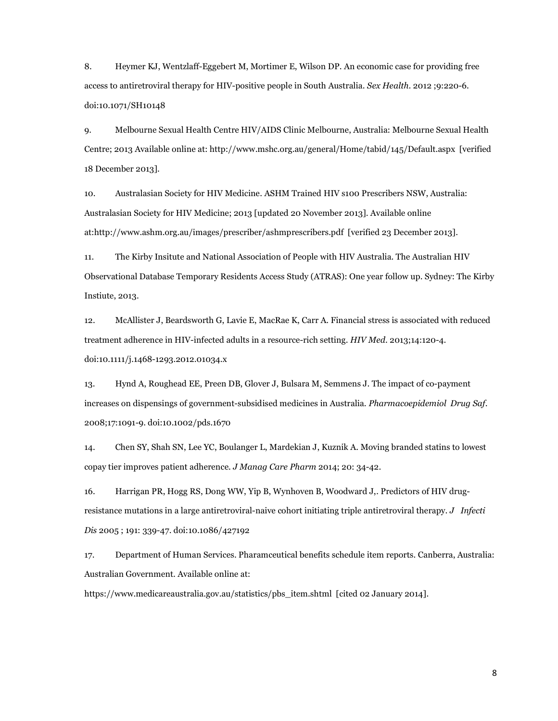8. Heymer KJ, Wentzlaff-Eggebert M, Mortimer E, Wilson DP. An economic case for providing free access to antiretroviral therapy for HIV-positive people in South Australia. Sex Health. 2012 ;9:220-6. doi:10.1071/SH10148

9. Melbourne Sexual Health Centre HIV/AIDS Clinic Melbourne, Australia: Melbourne Sexual Health Centre; 2013 Available online at: http://www.mshc.org.au/general/Home/tabid/145/Default.aspx [verified 18 December 2013].

10. Australasian Society for HIV Medicine. ASHM Trained HIV s100 Prescribers NSW, Australia: Australasian Society for HIV Medicine; 2013 [updated 20 November 2013]. Available online at:http://www.ashm.org.au/images/prescriber/ashmprescribers.pdf [verified 23 December 2013].

11. The Kirby Insitute and National Association of People with HIV Australia. The Australian HIV Observational Database Temporary Residents Access Study (ATRAS): One year follow up. Sydney: The Kirby Instiute, 2013.

12. McAllister J, Beardsworth G, Lavie E, MacRae K, Carr A. Financial stress is associated with reduced treatment adherence in HIV-infected adults in a resource-rich setting. HIV Med. 2013;14:120-4. doi:10.1111/j.1468-1293.2012.01034.x

13. Hynd A, Roughead EE, Preen DB, Glover J, Bulsara M, Semmens J. The impact of co-payment increases on dispensings of government-subsidised medicines in Australia. Pharmacoepidemiol Drug Saf. 2008;17:1091-9. doi:10.1002/pds.1670

14. Chen SY, Shah SN, Lee YC, Boulanger L, Mardekian J, Kuznik A. Moving branded statins to lowest copay tier improves patient adherence. J Manag Care Pharm 2014; 20: 34-42.

16. Harrigan PR, Hogg RS, Dong WW, Yip B, Wynhoven B, Woodward J,. Predictors of HIV drugresistance mutations in a large antiretroviral-naive cohort initiating triple antiretroviral therapy. J Infecti Dis 2005 ; 191: 339-47. doi:10.1086/427192

17. Department of Human Services. Pharamceutical benefits schedule item reports. Canberra, Australia: Australian Government. Available online at:

https://www.medicareaustralia.gov.au/statistics/pbs\_item.shtml [cited 02 January 2014].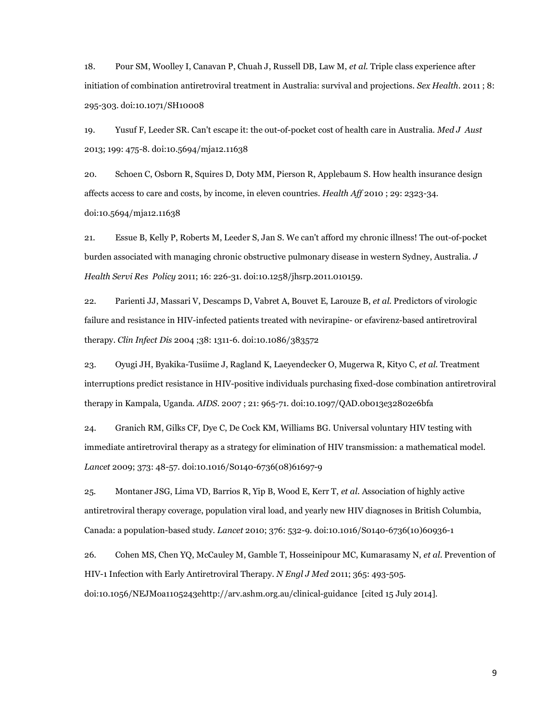18. Pour SM, Woolley I, Canavan P, Chuah J, Russell DB, Law M, et al. Triple class experience after initiation of combination antiretroviral treatment in Australia: survival and projections. Sex Health. 2011 ; 8: 295-303. doi:10.1071/SH10008

19. Yusuf F, Leeder SR. Can't escape it: the out-of-pocket cost of health care in Australia. Med J Aust 2013; 199: 475-8. doi:10.5694/mja12.11638

20. Schoen C, Osborn R, Squires D, Doty MM, Pierson R, Applebaum S. How health insurance design affects access to care and costs, by income, in eleven countries. Health Aff 2010 ; 29: 2323-34. doi:10.5694/mja12.11638

21. Essue B, Kelly P, Roberts M, Leeder S, Jan S. We can't afford my chronic illness! The out-of-pocket burden associated with managing chronic obstructive pulmonary disease in western Sydney, Australia. J Health Servi Res Policy 2011; 16: 226-31. doi:10.1258/jhsrp.2011.010159.

22. Parienti JJ, Massari V, Descamps D, Vabret A, Bouvet E, Larouze B, et al. Predictors of virologic failure and resistance in HIV-infected patients treated with nevirapine- or efavirenz-based antiretroviral therapy. Clin Infect Dis 2004 ;38: 1311-6. doi:10.1086/383572

23. Oyugi JH, Byakika-Tusiime J, Ragland K, Laeyendecker O, Mugerwa R, Kityo C, et al. Treatment interruptions predict resistance in HIV-positive individuals purchasing fixed-dose combination antiretroviral therapy in Kampala, Uganda. AIDS. 2007 ; 21: 965-71. doi:10.1097/QAD.0b013e32802e6bfa

24. Granich RM, Gilks CF, Dye C, De Cock KM, Williams BG. Universal voluntary HIV testing with immediate antiretroviral therapy as a strategy for elimination of HIV transmission: a mathematical model. Lancet 2009; 373: 48-57. doi:10.1016/S0140-6736(08)61697-9

25. Montaner JSG, Lima VD, Barrios R, Yip B, Wood E, Kerr T, et al. Association of highly active antiretroviral therapy coverage, population viral load, and yearly new HIV diagnoses in British Columbia, Canada: a population-based study. Lancet 2010; 376: 532-9. doi:10.1016/S0140-6736(10)60936-1

26. Cohen MS, Chen YQ, McCauley M, Gamble T, Hosseinipour MC, Kumarasamy N, et al. Prevention of HIV-1 Infection with Early Antiretroviral Therapy. N Engl J Med 2011; 365: 493-505. doi:10.1056/NEJMoa1105243ehttp://arv.ashm.org.au/clinical-guidance [cited 15 July 2014].

9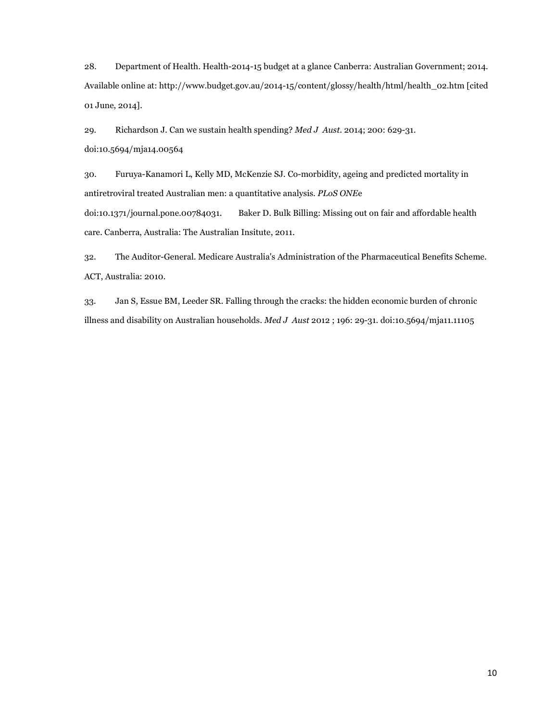28. Department of Health. Health-2014-15 budget at a glance Canberra: Australian Government; 2014. Available online at: http://www.budget.gov.au/2014-15/content/glossy/health/html/health\_02.htm [cited 01 June, 2014].

29. Richardson J. Can we sustain health spending? Med J Aust. 2014; 200: 629-31. doi:10.5694/mja14.00564

30. Furuya-Kanamori L, Kelly MD, McKenzie SJ. Co-morbidity, ageing and predicted mortality in antiretroviral treated Australian men: a quantitative analysis. PLoS ONEe doi:10.1371/journal.pone.00784031. Baker D. Bulk Billing: Missing out on fair and affordable health care. Canberra, Australia: The Australian Insitute, 2011.

32. The Auditor-General. Medicare Australia's Administration of the Pharmaceutical Benefits Scheme. ACT, Australia: 2010.

33. Jan S, Essue BM, Leeder SR. Falling through the cracks: the hidden economic burden of chronic illness and disability on Australian households. Med J Aust 2012 ; 196: 29-31. doi:10.5694/mja11.11105